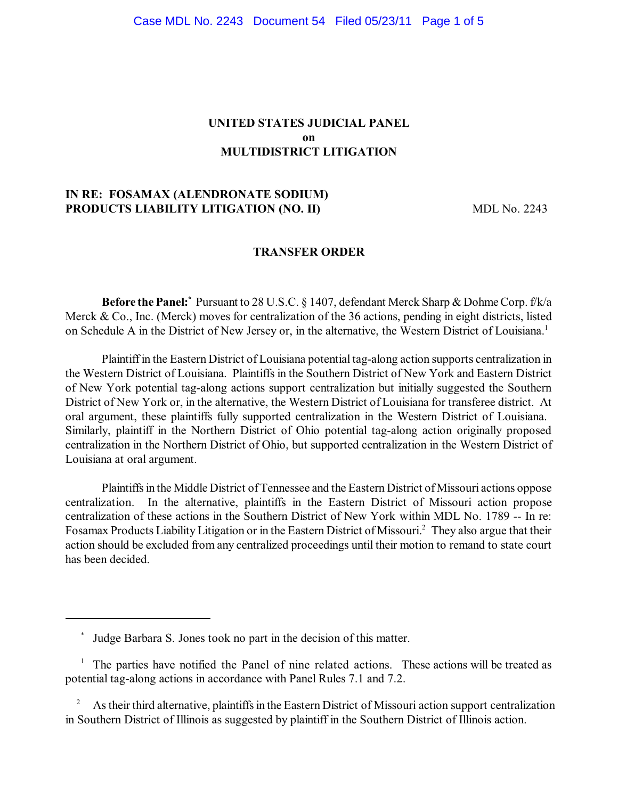## **UNITED STATES JUDICIAL PANEL on MULTIDISTRICT LITIGATION**

### **IN RE: FOSAMAX (ALENDRONATE SODIUM) PRODUCTS LIABILITY LITIGATION (NO. II)** MDL No. 2243

### **TRANSFER ORDER**

**Before the Panel:** Pursuant to 28 U.S.C. § 1407, defendant Merck Sharp & Dohme Corp. f/k/a Merck & Co., Inc. (Merck) moves for centralization of the 36 actions, pending in eight districts, listed on Schedule A in the District of New Jersey or, in the alternative, the Western District of Louisiana.<sup>1</sup>

Plaintiff in the Eastern District of Louisiana potential tag-along action supports centralization in the Western District of Louisiana. Plaintiffs in the Southern District of New York and Eastern District of New York potential tag-along actions support centralization but initially suggested the Southern District of New York or, in the alternative, the Western District of Louisiana for transferee district. At oral argument, these plaintiffs fully supported centralization in the Western District of Louisiana. Similarly, plaintiff in the Northern District of Ohio potential tag-along action originally proposed centralization in the Northern District of Ohio, but supported centralization in the Western District of Louisiana at oral argument.

Plaintiffs in the Middle District of Tennessee and the Eastern District of Missouri actions oppose centralization. In the alternative, plaintiffs in the Eastern District of Missouri action propose centralization of these actions in the Southern District of New York within MDL No. 1789 -- In re: Fosamax Products Liability Litigation or in the Eastern District of Missouri.<sup>2</sup> They also argue that their action should be excluded from any centralized proceedings until their motion to remand to state court has been decided.

Judge Barbara S. Jones took no part in the decision of this matter. \*

 $1$  The parties have notified the Panel of nine related actions. These actions will be treated as potential tag-along actions in accordance with Panel Rules 7.1 and 7.2.

 $2^2$  As their third alternative, plaintiffs in the Eastern District of Missouri action support centralization in Southern District of Illinois as suggested by plaintiff in the Southern District of Illinois action.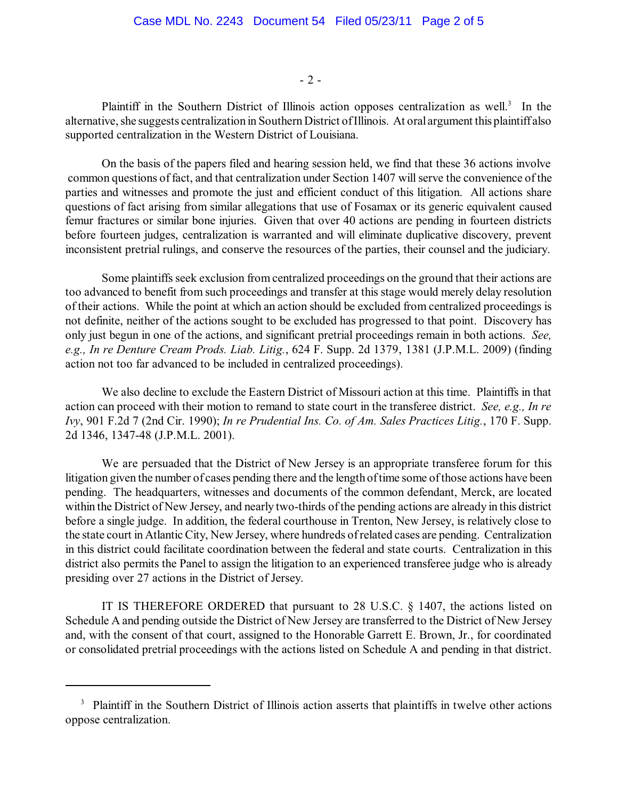- 2 -

Plaintiff in the Southern District of Illinois action opposes centralization as well.<sup>3</sup> In the alternative, she suggests centralization in SouthernDistrict ofIllinois. At oral argument this plaintiff also supported centralization in the Western District of Louisiana.

On the basis of the papers filed and hearing session held, we find that these 36 actions involve common questions of fact, and that centralization under Section 1407 will serve the convenience of the parties and witnesses and promote the just and efficient conduct of this litigation. All actions share questions of fact arising from similar allegations that use of Fosamax or its generic equivalent caused femur fractures or similar bone injuries. Given that over 40 actions are pending in fourteen districts before fourteen judges, centralization is warranted and will eliminate duplicative discovery, prevent inconsistent pretrial rulings, and conserve the resources of the parties, their counsel and the judiciary.

Some plaintiffs seek exclusion from centralized proceedings on the ground that their actions are too advanced to benefit from such proceedings and transfer at this stage would merely delay resolution of their actions. While the point at which an action should be excluded from centralized proceedings is not definite, neither of the actions sought to be excluded has progressed to that point. Discovery has only just begun in one of the actions, and significant pretrial proceedings remain in both actions. *See, e.g., In re Denture Cream Prods. Liab. Litig.*, 624 F. Supp. 2d 1379, 1381 (J.P.M.L. 2009) (finding action not too far advanced to be included in centralized proceedings).

We also decline to exclude the Eastern District of Missouri action at this time. Plaintiffs in that action can proceed with their motion to remand to state court in the transferee district. *See, e.g., In re Ivy*, 901 F.2d 7 (2nd Cir. 1990); *In re Prudential Ins. Co. of Am. Sales Practices Litig.*, 170 F. Supp. 2d 1346, 1347-48 (J.P.M.L. 2001).

We are persuaded that the District of New Jersey is an appropriate transferee forum for this litigation given the number of cases pending there and the length oftime some ofthose actions have been pending. The headquarters, witnesses and documents of the common defendant, Merck, are located within the District of New Jersey, and nearly two-thirds of the pending actions are already in this district before a single judge. In addition, the federal courthouse in Trenton, New Jersey, is relatively close to the state court in Atlantic City, New Jersey, where hundreds ofrelated cases are pending. Centralization in this district could facilitate coordination between the federal and state courts. Centralization in this district also permits the Panel to assign the litigation to an experienced transferee judge who is already presiding over 27 actions in the District of Jersey.

IT IS THEREFORE ORDERED that pursuant to 28 U.S.C. § 1407, the actions listed on Schedule A and pending outside the District of New Jersey are transferred to the District of New Jersey and, with the consent of that court, assigned to the Honorable Garrett E. Brown, Jr., for coordinated or consolidated pretrial proceedings with the actions listed on Schedule A and pending in that district.

<sup>&</sup>lt;sup>3</sup> Plaintiff in the Southern District of Illinois action asserts that plaintiffs in twelve other actions oppose centralization.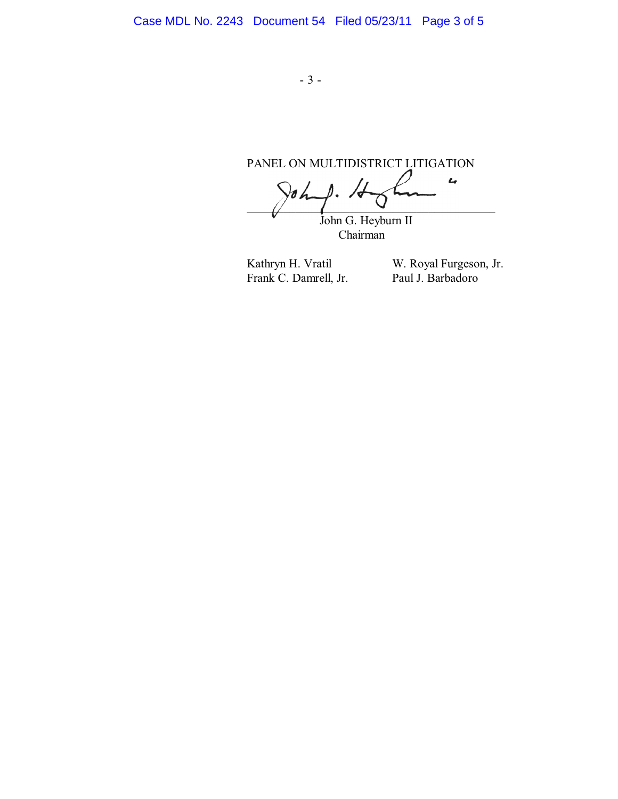PANEL ON MULTIDISTRICT LITIGATION  $\overline{L}$  $\sqrt{d}$  $\mathbb{Z}$   $\mathbb{Z}$   $\mathbb{Z}$   $\mathbb{Z}$   $\mathbb{Z}$   $\mathbb{Z}$   $\mathbb{Z}$   $\mathbb{Z}$   $\mathbb{Z}$   $\mathbb{Z}$   $\mathbb{Z}$   $\mathbb{Z}$   $\mathbb{Z}$   $\mathbb{Z}$   $\mathbb{Z}$   $\mathbb{Z}$   $\mathbb{Z}$   $\mathbb{Z}$   $\mathbb{Z}$   $\mathbb{Z}$   $\mathbb{Z}$   $\mathbb{Z}$   $\mathbb{Z}$   $\mathbb{Z}$   $\mathbb{$ John G. Heyburn II Chairman

Frank C. Damrell, Jr.

Kathryn H. Vratil W. Royal Furgeson, Jr.<br>Frank C. Damrell, Jr. Paul J. Barbadoro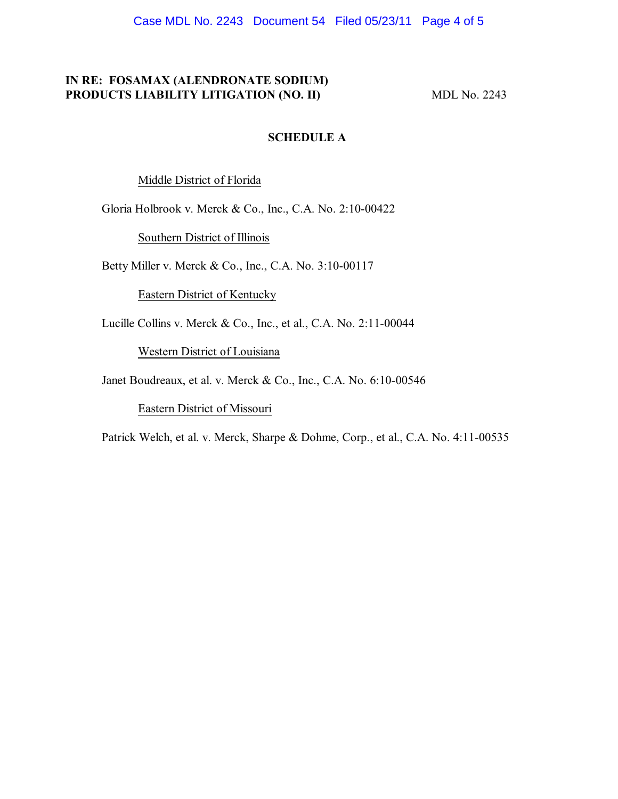Case MDL No. 2243 Document 54 Filed 05/23/11 Page 4 of 5

# **IN RE: FOSAMAX (ALENDRONATE SODIUM) PRODUCTS LIABILITY LITIGATION (NO. II)** MDL No. 2243

### **SCHEDULE A**

Middle District of Florida

Gloria Holbrook v. Merck & Co., Inc., C.A. No. 2:10-00422

Southern District of Illinois

Betty Miller v. Merck & Co., Inc., C.A. No. 3:10-00117

Eastern District of Kentucky

Lucille Collins v. Merck & Co., Inc., et al., C.A. No. 2:11-00044

Western District of Louisiana

Janet Boudreaux, et al. v. Merck & Co., Inc., C.A. No. 6:10-00546

Eastern District of Missouri

Patrick Welch, et al. v. Merck, Sharpe & Dohme, Corp., et al., C.A. No. 4:11-00535